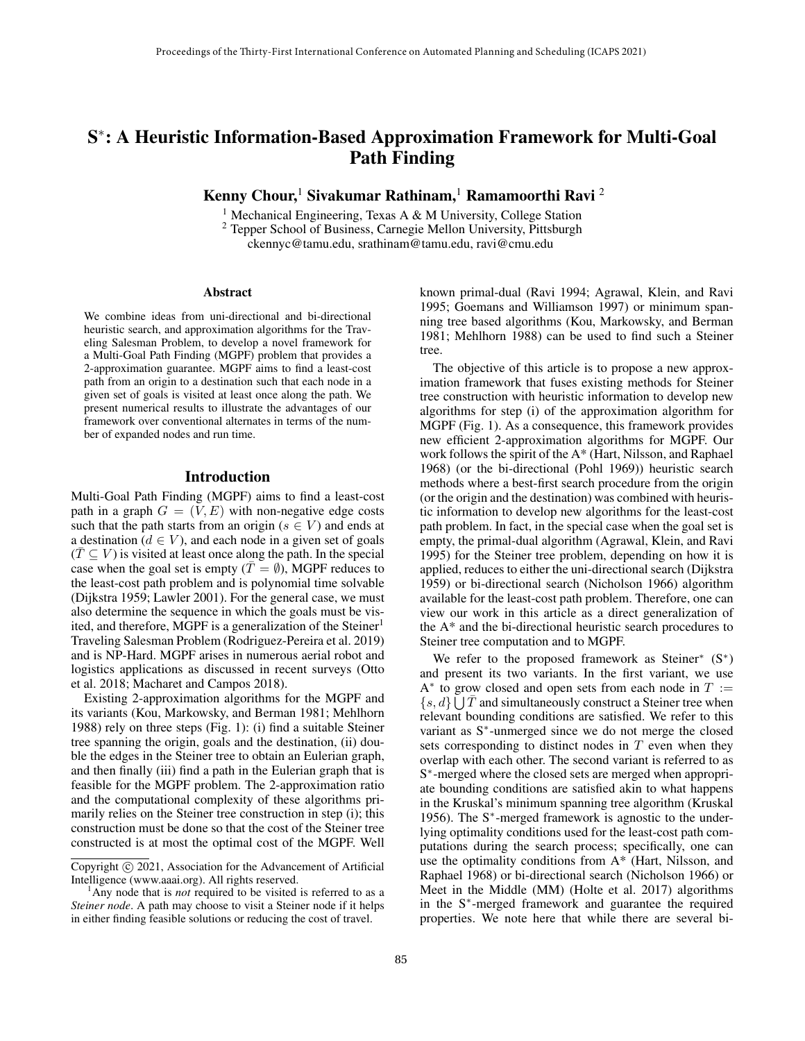# S<sup>\*</sup>: A Heuristic Information-Based Approximation Framework for Multi-Goal Path Finding

Kenny Chour,<sup>1</sup> Sivakumar Rathinam,<sup>1</sup> Ramamoorthi Ravi <sup>2</sup>

<sup>1</sup> Mechanical Engineering, Texas A & M University, College Station <sup>2</sup> Tepper School of Business, Carnegie Mellon University, Pittsburgh ckennyc@tamu.edu, srathinam@tamu.edu, ravi@cmu.edu

#### Abstract

We combine ideas from uni-directional and bi-directional heuristic search, and approximation algorithms for the Traveling Salesman Problem, to develop a novel framework for a Multi-Goal Path Finding (MGPF) problem that provides a 2-approximation guarantee. MGPF aims to find a least-cost path from an origin to a destination such that each node in a given set of goals is visited at least once along the path. We present numerical results to illustrate the advantages of our framework over conventional alternates in terms of the number of expanded nodes and run time.

### Introduction

Multi-Goal Path Finding (MGPF) aims to find a least-cost path in a graph  $G = (V, E)$  with non-negative edge costs such that the path starts from an origin ( $s \in V$ ) and ends at a destination ( $d \in V$ ), and each node in a given set of goals  $(T \subseteq V)$  is visited at least once along the path. In the special case when the goal set is empty ( $T = \emptyset$ ), MGPF reduces to the least-cost path problem and is polynomial time solvable (Dijkstra 1959; Lawler 2001). For the general case, we must also determine the sequence in which the goals must be visited, and therefore, MGPF is a generalization of the Steiner<sup>1</sup> Traveling Salesman Problem (Rodriguez-Pereira et al. 2019) and is NP-Hard. MGPF arises in numerous aerial robot and logistics applications as discussed in recent surveys (Otto et al. 2018; Macharet and Campos 2018).

Existing 2-approximation algorithms for the MGPF and its variants (Kou, Markowsky, and Berman 1981; Mehlhorn 1988) rely on three steps (Fig. 1): (i) find a suitable Steiner tree spanning the origin, goals and the destination, (ii) double the edges in the Steiner tree to obtain an Eulerian graph, and then finally (iii) find a path in the Eulerian graph that is feasible for the MGPF problem. The 2-approximation ratio and the computational complexity of these algorithms primarily relies on the Steiner tree construction in step (i); this construction must be done so that the cost of the Steiner tree constructed is at most the optimal cost of the MGPF. Well known primal-dual (Ravi 1994; Agrawal, Klein, and Ravi 1995; Goemans and Williamson 1997) or minimum spanning tree based algorithms (Kou, Markowsky, and Berman 1981; Mehlhorn 1988) can be used to find such a Steiner tree.

The objective of this article is to propose a new approximation framework that fuses existing methods for Steiner tree construction with heuristic information to develop new algorithms for step (i) of the approximation algorithm for MGPF (Fig. 1). As a consequence, this framework provides new efficient 2-approximation algorithms for MGPF. Our work follows the spirit of the A\* (Hart, Nilsson, and Raphael 1968) (or the bi-directional (Pohl 1969)) heuristic search methods where a best-first search procedure from the origin (or the origin and the destination) was combined with heuristic information to develop new algorithms for the least-cost path problem. In fact, in the special case when the goal set is empty, the primal-dual algorithm (Agrawal, Klein, and Ravi 1995) for the Steiner tree problem, depending on how it is applied, reduces to either the uni-directional search (Dijkstra 1959) or bi-directional search (Nicholson 1966) algorithm available for the least-cost path problem. Therefore, one can view our work in this article as a direct generalization of the A\* and the bi-directional heuristic search procedures to Steiner tree computation and to MGPF.

We refer to the proposed framework as Steiner\*  $(S^*)$ and present its two variants. In the first variant, we use A\* to grow closed and open sets from each node in  $T :=$  $\{s, d\} \bigcup \overline{T}$  and simultaneously construct a Steiner tree when relevant bounding conditions are satisfied. We refer to this variant as S<sup>\*</sup>-unmerged since we do not merge the closed sets corresponding to distinct nodes in  $T$  even when they overlap with each other. The second variant is referred to as S<sup>\*</sup>-merged where the closed sets are merged when appropriate bounding conditions are satisfied akin to what happens in the Kruskal's minimum spanning tree algorithm (Kruskal 1956). The S<sup>\*</sup>-merged framework is agnostic to the underlying optimality conditions used for the least-cost path computations during the search process; specifically, one can use the optimality conditions from A\* (Hart, Nilsson, and Raphael 1968) or bi-directional search (Nicholson 1966) or Meet in the Middle (MM) (Holte et al. 2017) algorithms in the S<sup>∗</sup> -merged framework and guarantee the required properties. We note here that while there are several bi-

Copyright © 2021, Association for the Advancement of Artificial Intelligence (www.aaai.org). All rights reserved.

<sup>&</sup>lt;sup>1</sup>Any node that is *not* required to be visited is referred to as a *Steiner node*. A path may choose to visit a Steiner node if it helps in either finding feasible solutions or reducing the cost of travel.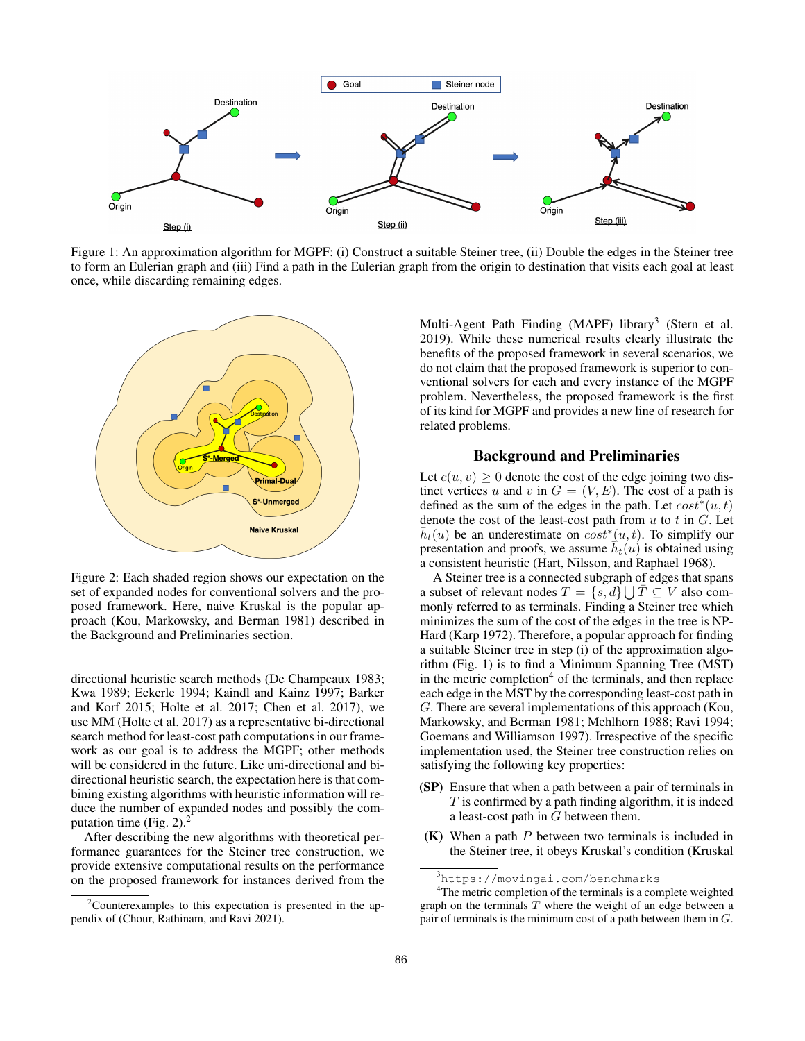

Figure 1: An approximation algorithm for MGPF: (i) Construct a suitable Steiner tree, (ii) Double the edges in the Steiner tree to form an Eulerian graph and (iii) Find a path in the Eulerian graph from the origin to destination that visits each goal at least once, while discarding remaining edges.



Figure 2: Each shaded region shows our expectation on the set of expanded nodes for conventional solvers and the proposed framework. Here, naive Kruskal is the popular approach (Kou, Markowsky, and Berman 1981) described in the Background and Preliminaries section.

directional heuristic search methods (De Champeaux 1983; Kwa 1989; Eckerle 1994; Kaindl and Kainz 1997; Barker and Korf 2015; Holte et al. 2017; Chen et al. 2017), we use MM (Holte et al. 2017) as a representative bi-directional search method for least-cost path computations in our framework as our goal is to address the MGPF; other methods will be considered in the future. Like uni-directional and bidirectional heuristic search, the expectation here is that combining existing algorithms with heuristic information will reduce the number of expanded nodes and possibly the computation time (Fig. 2). $<sup>2</sup>$ </sup>

After describing the new algorithms with theoretical performance guarantees for the Steiner tree construction, we provide extensive computational results on the performance on the proposed framework for instances derived from the

Multi-Agent Path Finding (MAPF) library<sup>3</sup> (Stern et al. 2019). While these numerical results clearly illustrate the benefits of the proposed framework in several scenarios, we do not claim that the proposed framework is superior to conventional solvers for each and every instance of the MGPF problem. Nevertheless, the proposed framework is the first of its kind for MGPF and provides a new line of research for related problems.

## Background and Preliminaries

Let  $c(u, v) \geq 0$  denote the cost of the edge joining two distinct vertices u and v in  $G = (V, E)$ . The cost of a path is defined as the sum of the edges in the path. Let  $cost^*(u, t)$ denote the cost of the least-cost path from  $u$  to  $t$  in  $G$ . Let  $\bar{h}_t(u)$  be an underestimate on  $\cosh^*(u, t)$ . To simplify our presentation and proofs, we assume  $\vec{h}_t(u)$  is obtained using a consistent heuristic (Hart, Nilsson, and Raphael 1968).

A Steiner tree is a connected subgraph of edges that spans a subset of relevant nodes  $T = \{s, d\} \cup \overline{T} \subseteq V$  also commonly referred to as terminals. Finding a Steiner tree which minimizes the sum of the cost of the edges in the tree is NP-Hard (Karp 1972). Therefore, a popular approach for finding a suitable Steiner tree in step (i) of the approximation algorithm (Fig. 1) is to find a Minimum Spanning Tree (MST) in the metric completion<sup>4</sup> of the terminals, and then replace each edge in the MST by the corresponding least-cost path in G. There are several implementations of this approach (Kou, Markowsky, and Berman 1981; Mehlhorn 1988; Ravi 1994; Goemans and Williamson 1997). Irrespective of the specific implementation used, the Steiner tree construction relies on satisfying the following key properties:

- (SP) Ensure that when a path between a pair of terminals in  $T$  is confirmed by a path finding algorithm, it is indeed a least-cost path in G between them.
- $(K)$  When a path P between two terminals is included in the Steiner tree, it obeys Kruskal's condition (Kruskal

<sup>&</sup>lt;sup>2</sup>Counterexamples to this expectation is presented in the appendix of (Chour, Rathinam, and Ravi 2021).

<sup>3</sup>https://movingai.com/benchmarks

 $4$ The metric completion of the terminals is a complete weighted graph on the terminals  $T$  where the weight of an edge between a pair of terminals is the minimum cost of a path between them in G.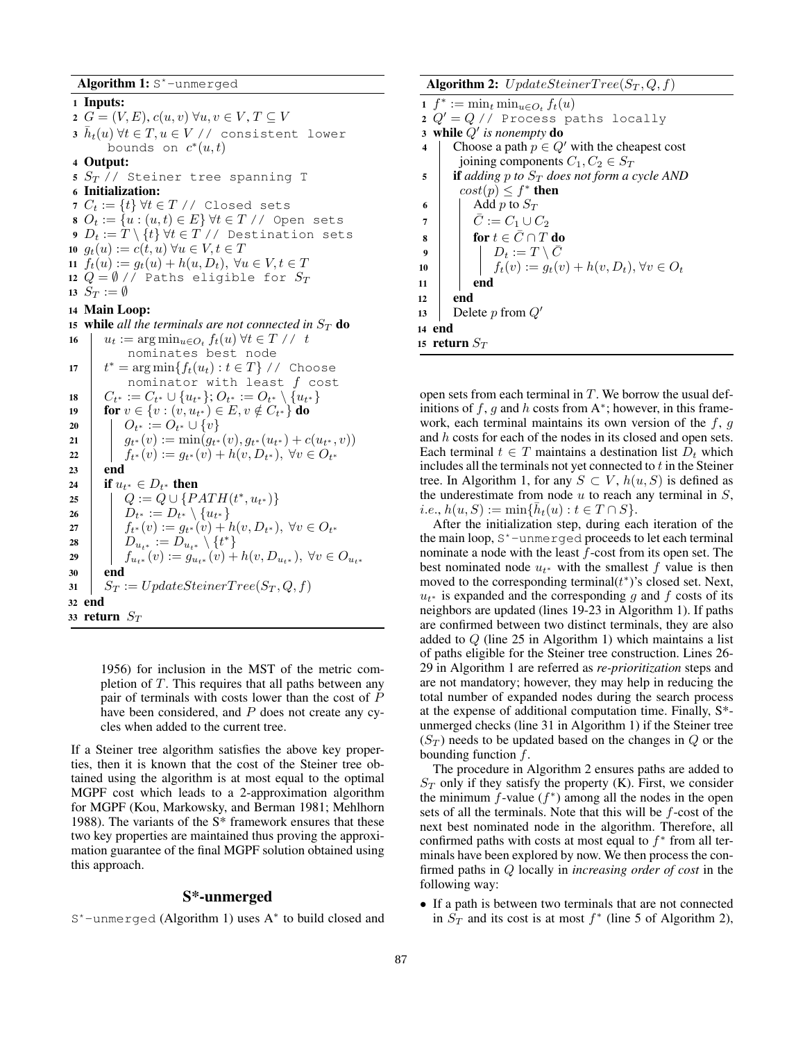Algorithm 1: S\*-unmerged <sup>1</sup> Inputs:  $G = (V, E), c(u, v) \forall u, v \in V, T \subseteq V$  $\bar{a}\,\,\bar{h}_t(u) \,\forall t\in T, u\in V \, \,\textrm{\it /}$  consistent lower bounds on  $c^*(u,t)$ <sup>4</sup> Output:  $S_T$  // Steiner tree spanning T Initialization:  $C_t := \{t\} \forall t \in T \text{ // Closed sets}$  $O_t := \{u : (u, t) \in E\} \forall t \in T \; / \;$  Open sets  $D_t := T \setminus \{t\} \forall t \in T \text{ // Destination sets}$  $g_t(u) := c(t, u) \,\forall u \in V, t \in T$  $f_t(u) := g_t(u) + h(u, D_t), \ \forall u \in V, t \in T$  $Q = \emptyset$  // Paths eligible for  $S_T$  $S_T := \emptyset$  Main Loop:  $u_t := \arg \min_{u \in O_t} f_t(u) \; \forall t \in T \; / \; t$ nominates best node 17  $t^* = \arg \min \{f_t(u_t) : t \in T\}$  // Choose nominator with least  $f$  cost  $C_{t^*} := C_{t^*} \cup \{u_{t^*}\}; O_{t^*} := O_{t^*} \setminus \{u_{t^*}\}$ **for**  $v \in \{v : (v, u_{t^*}) \in E, v \notin C_{t^*}\}\)$  do  $\big|$   $O_{t^*} := O_{t^*} \cup \{v\}$ 

```
15 while all the terminals are not connected in S_T do
21 g_{t^*}(v) := \min(g_{t^*}(v), g_{t^*}(u_{t^*}) + c(u_{t^*}, v))22 \int f_{t^*}(v) := g_{t^*}(v) + h(v, D_{t^*}), \ \forall v \in O_{t^*}23 end
24 \parallel if u_{t^*} \in D_{t^*} then
25 \left| Q := Q \cup \{PATH(t^*, u_{t^*})\} \right.26 D_{t^*} := D_{t^*} \setminus \{u_{t^*}\}27 \int f_{t^*}(v) := g_{t^*}(v) + h(v, D_{t^*}), \ \forall v \in O_{t^*}28 D_{u_{t^*}} := D_{u_{t^*}} \setminus \{t^*\}29 \left| \quad \right| \quad f_{u_{t}*}(v) := g_{u_{t}*}(v) + h(v, D_{u_{t}*}), \; \forall v \in O_{u_{t}*}30 end
31 \mid S_T := UpdateSteinerTree(S_T, Q, f)32 end
33 return S_T
```
1956) for inclusion in the MST of the metric completion of  $T$ . This requires that all paths between any pair of terminals with costs lower than the cost of P have been considered, and P does not create any cycles when added to the current tree.

If a Steiner tree algorithm satisfies the above key properties, then it is known that the cost of the Steiner tree obtained using the algorithm is at most equal to the optimal MGPF cost which leads to a 2-approximation algorithm for MGPF (Kou, Markowsky, and Berman 1981; Mehlhorn 1988). The variants of the S\* framework ensures that these two key properties are maintained thus proving the approximation guarantee of the final MGPF solution obtained using this approach.

# S\*-unmerged

S\*-unmerged (Algorithm 1) uses A<sup>∗</sup> to build closed and

Algorithm 2:  $UpdateSteinerTree(S_T, Q, f)$ 

1  $f^* := \min_t \min_{u \in O_t} f_t(u)$ 2  $Q' = Q$  // Process paths locally 3 while  $Q'$  is nonempty do 4 Choose a path  $p \in Q'$  with the cheapest cost joining components  $C_1, C_2 \in S_T$ 5 **if** *adding* p *to*  $S_T$  *does not form a cycle AND*  $cost(p) \leq f^*$  then 6  $\blacksquare$  Add p to  $S_T$ 7  $\begin{array}{|c|c|c|c|c|} \hline \end{array}$   $\bar{C}$  :=  $C_1 \cup C_2$ 8 for  $t \in \bar{C} \cap T$  do  $9$   $\begin{array}{|c|c|c|c|} \hline \end{array}$   $D_t := T \setminus \bar{C}$ 10 ft(v) :=  $g_t(v) + h(v, D_t)$ ,  $\forall v \in O_t$  $11$  | end <sup>12</sup> end 13 Delete p from  $Q'$ <sup>14</sup> end 15 return  $S_T$ 

open sets from each terminal in  $T$ . We borrow the usual definitions of f, g and h costs from  $A^*$ ; however, in this framework, each terminal maintains its own version of the  $f, g$ and h costs for each of the nodes in its closed and open sets. Each terminal  $t \in T$  maintains a destination list  $D_t$  which includes all the terminals not yet connected to  $t$  in the Steiner tree. In Algorithm 1, for any  $S \subset V$ ,  $h(u, S)$  is defined as the underestimate from node  $u$  to reach any terminal in  $S$ ,  $i.e., h(u, S) := \min{\{\bar{h}_t(u) : t \in T \cap S\}}.$ 

After the initialization step, during each iteration of the the main loop,  $S^*$ -unmerged proceeds to let each terminal nominate a node with the least  $f$ -cost from its open set. The best nominated node  $u_{t*}$  with the smallest f value is then moved to the corresponding terminal $(t^*)$ 's closed set. Next,  $u_{t*}$  is expanded and the corresponding g and f costs of its neighbors are updated (lines 19-23 in Algorithm 1). If paths are confirmed between two distinct terminals, they are also added to  $Q$  (line 25 in Algorithm 1) which maintains a list of paths eligible for the Steiner tree construction. Lines 26- 29 in Algorithm 1 are referred as *re-prioritization* steps and are not mandatory; however, they may help in reducing the total number of expanded nodes during the search process at the expense of additional computation time. Finally, S\* unmerged checks (line 31 in Algorithm 1) if the Steiner tree  $(S_T)$  needs to be updated based on the changes in  $Q$  or the bounding function  $f$ .

The procedure in Algorithm 2 ensures paths are added to  $S_T$  only if they satisfy the property (K). First, we consider the minimum  $f$ -value  $(f^*)$  among all the nodes in the open sets of all the terminals. Note that this will be f-cost of the next best nominated node in the algorithm. Therefore, all confirmed paths with costs at most equal to  $f^*$  from all terminals have been explored by now. We then process the confirmed paths in Q locally in *increasing order of cost* in the following way:

• If a path is between two terminals that are not connected in  $S_T$  and its cost is at most  $f^*$  (line 5 of Algorithm 2),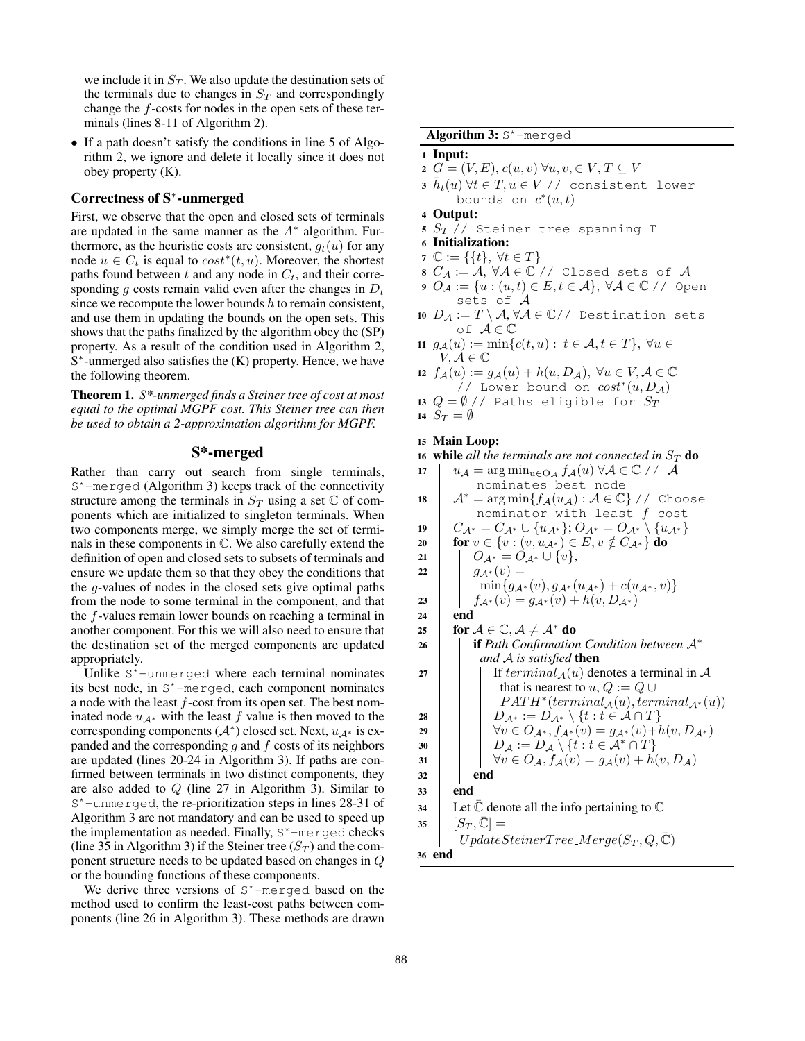we include it in  $S_T$ . We also update the destination sets of the terminals due to changes in  $S_T$  and correspondingly change the f-costs for nodes in the open sets of these terminals (lines 8-11 of Algorithm 2).

• If a path doesn't satisfy the conditions in line 5 of Algorithm 2, we ignore and delete it locally since it does not obey property (K).

# Correctness of S<sup>∗</sup> -unmerged

First, we observe that the open and closed sets of terminals are updated in the same manner as the  $A^*$  algorithm. Furthermore, as the heuristic costs are consistent,  $g_t(u)$  for any node  $u \in C_t$  is equal to  $cost^*(t, u)$ . Moreover, the shortest paths found between  $t$  and any node in  $C_t$ , and their corresponding g costs remain valid even after the changes in  $D_t$ since we recompute the lower bounds  $h$  to remain consistent, and use them in updating the bounds on the open sets. This shows that the paths finalized by the algorithm obey the (SP) property. As a result of the condition used in Algorithm 2, S<sup>\*</sup>-unmerged also satisfies the (K) property. Hence, we have the following theorem.

Theorem 1. *S\*-unmerged finds a Steiner tree of cost at most equal to the optimal MGPF cost. This Steiner tree can then be used to obtain a 2-approximation algorithm for MGPF.*

# S\*-merged

Rather than carry out search from single terminals,  $S<sup>*</sup>$ -merged (Algorithm 3) keeps track of the connectivity structure among the terminals in  $S_T$  using a set  $\mathbb C$  of components which are initialized to singleton terminals. When two components merge, we simply merge the set of terminals in these components in C. We also carefully extend the definition of open and closed sets to subsets of terminals and ensure we update them so that they obey the conditions that the g-values of nodes in the closed sets give optimal paths from the node to some terminal in the component, and that the f-values remain lower bounds on reaching a terminal in another component. For this we will also need to ensure that the destination set of the merged components are updated appropriately.

Unlike S\*-unmerged where each terminal nominates its best node, in S\*-merged, each component nominates a node with the least f-cost from its open set. The best nominated node  $u_{\mathcal{A}^*}$  with the least f value is then moved to the corresponding components  $(A^*)$  closed set. Next,  $u_{A^*}$  is expanded and the corresponding  $q$  and  $f$  costs of its neighbors are updated (lines 20-24 in Algorithm 3). If paths are confirmed between terminals in two distinct components, they are also added to Q (line 27 in Algorithm 3). Similar to S\*-unmerged, the re-prioritization steps in lines 28-31 of Algorithm 3 are not mandatory and can be used to speed up the implementation as needed. Finally,  $S^*$ -merged checks (line 35 in Algorithm 3) if the Steiner tree  $(S_T)$  and the component structure needs to be updated based on changes in Q or the bounding functions of these components.

We derive three versions of  $S^*$ -merged based on the method used to confirm the least-cost paths between components (line 26 in Algorithm 3). These methods are drawn

Algorithm 3: S\*-merged

### <sup>1</sup> Input:

- 2  $G = (V, E), c(u, v) \forall u, v \in V, T \subseteq V$
- $\bar{a}\,\,\bar{h}_t(u) \,\forall t\in T, u\in V \, \,\textrm{\it /}$  consistent lower bounds on  $c^*(u,t)$
- <sup>4</sup> Output:
- 5  $S_T$  // Steiner tree spanning T
- <sup>6</sup> Initialization:
- 7  $\mathbb{C} := \{ \{t\}, \ \forall t \in T \}$
- 8  $C_{\mathcal{A}} := \mathcal{A}, \forall \mathcal{A} \in \mathbb{C} \text{ // Closed sets of } \mathcal{A}$
- 9  $O_{\mathcal{A}} := \{u : (u, t) \in E, t \in \mathcal{A}\}, \forall \mathcal{A} \in \mathbb{C} \text{ // Open }$ sets of A
- 10  $D_{\mathcal{A}} := T \setminus \mathcal{A}, \forall \mathcal{A} \in \mathbb{C} \setminus \mathcal{A}$  Destination sets of  $A \in \mathbb{C}$
- 11  $g_{\mathcal{A}}(u) := \min\{c(t, u): t \in \mathcal{A}, t \in T\}, \ \forall u \in$  $V, A \in \mathbb{C}$
- 12  $f_{\mathcal{A}}(u) := g_{\mathcal{A}}(u) + h(u, D_{\mathcal{A}}), \ \forall u \in V, \mathcal{A} \in \mathbb{C}$  $//$  Lower bound on  $cost^*(u, D_A)$
- 13  $Q = \emptyset$  // Paths eligible for  $S_T$

14  $S_T = \emptyset$ 

# <sup>15</sup> Main Loop:

16 while *all the terminals are not connected in*  $S_T$  do

- 17  $u_{\mathcal{A}} = \arg \min_{u \in Q_{\mathcal{A}}} f_{\mathcal{A}}(u) \,\forall \mathcal{A} \in \mathbb{C} \; / \; / \; \mathcal{A}$ nominates best node 18  $A^* = \arg \min \{ f_{\mathcal{A}}(u_{\mathcal{A}}) : \mathcal{A} \in \mathbb{C} \}$  // Choose nominator with least  $f$  cost 19  $C_{\mathcal{A}^*} = C_{\mathcal{A}^*} \cup \{u_{\mathcal{A}^*}\}; O_{\mathcal{A}^*} = O_{\mathcal{A}^*} \setminus \{u_{\mathcal{A}^*}\}$ 20 for  $v \in \{v : (v, u_{\mathcal{A}^*}) \in E, v \notin C_{\mathcal{A}^*}\}\$  do 21 |  $O_{\mathcal{A}^*} = O_{\mathcal{A}^*} \cup \{v\},\$ 22  $\Big| \Big| g_{\mathcal{A}^*}(v) =$  $\min\{g_{\mathcal{A}^*}(v), g_{\mathcal{A}^*}(u_{\mathcal{A}^*}) + c(u_{\mathcal{A}^*}, v)\}\$ 23 f $A_*(v) = g_{A^*}(v) + h(v, D_{A^*})$  $24$  end 25 for  $A \in \mathbb{C}, A \neq A^*$  do <sup>26</sup> if *Path Confirmation Condition between* A<sup>∗</sup> *and* A *is satisfied* then 27 | | | If  $terminal_A(u)$  denotes a terminal in A
- that is nearest to  $u, Q := Q \cup$  $PATH^*(terminal_{\mathcal{A}}(u), terminal_{\mathcal{A}^*}(u))$ 28  $\Box$   $D_{\mathcal{A}^*} := D_{\mathcal{A}^*} \setminus \{t : t \in \mathcal{A} \cap T\}$ 29  $\vert \vert \vert \ \forall v \in O_{\mathcal{A}^*}, f_{\mathcal{A}^*}(v) = g_{\mathcal{A}^*}(v) + h(v, D_{\mathcal{A}^*})$ 30  $\Box$   $D_{\mathcal{A}} := D_{\mathcal{A}} \setminus \{t : t \in \mathcal{A}^* \cap T\}$ 31  $\forall v \in O_{\mathcal{A}}, f_{\mathcal{A}}(v) = g_{\mathcal{A}}(v) + h(v, D_{\mathcal{A}})$  $32$  end <sup>33</sup> end 34 Let  $\mathbb C$  denote all the info pertaining to  $\mathbb C$  $35 \mid [S_T, \bar{\mathbb{C}}] =$

$$
\begin{array}{c}\n\mathcal{L} \\
\downarrow \quad U \quad U \quad \text{plateSteinerTree} \quad \text{Merge}(S_T, Q, \bar{\mathbb{C}}) \\
\text{36 end}\n\end{array}
$$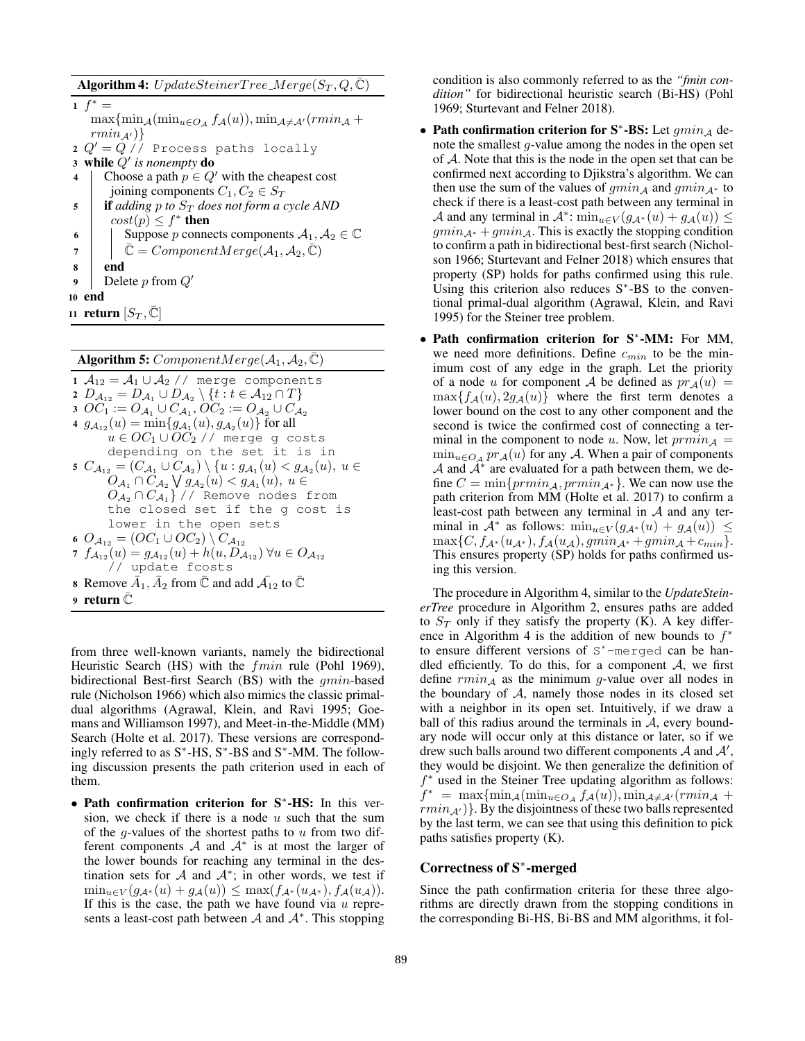**Algorithm 4:**  $UpdateSteinerTree_Merge(S_T, Q, \bar{C})$ 

 $1 f^* =$  $\max{\min_{A}(\min_{u \in O_{\mathcal{A}}} f_{\mathcal{A}}(u))}, \min_{\mathcal{A} \neq \mathcal{A}'}(rmin_{\mathcal{A}} +$  $rmin_{\mathcal{A}'}$ } 2  $Q' = Q$  // Process paths locally 3 while  $Q'$  is nonempty do 4 Choose a path  $p \in Q'$  with the cheapest cost joining components  $C_1, C_2 \in S_T$ 5 **if** *adding* p *to*  $S_T$  *does not form a cycle AND*  $cost(p) \leq f^*$  then 6 | Suppose p connects components  $A_1, A_2 \in \mathbb{C}$ 

7  $\overline{\mathbb{C}}$  = ComponentMerge( $\mathcal{A}_1, \mathcal{A}_2, \overline{\mathbb{C}}$ )

<sup>8</sup> end

9 Delete p from  $Q'$ 

<sup>10</sup> end

11 return  $[S_T,\mathbb{C}]$ 

**Algorithm 5:** ComponentMerge( $A_1, A_2, \overline{C}$ )

1  $A_{12} = A_1 \cup A_2$  // merge components 2  $D_{\mathcal{A}_{12}}=D_{\mathcal{A}_{1}}\cup D_{\mathcal{A}_{2}}\setminus\{t:t\in\mathcal{A}_{12}\cap T\}$ 3  $\textit{OC}_1 := O_{\mathcal{A}_1} \cup C_{\mathcal{A}_1}, \textit{OC}_2 := O_{\mathcal{A}_2} \cup C_{\mathcal{A}_2}$ 4  $g_{A_{12}}(u) = \min\{g_{A_1}(u), g_{A_2}(u)\}\)$  for all  $u \in OC_1 \cup OC_2$  // merge g costs depending on the set it is in 5  $C_{A_{12}} = (C_{A_1} \cup C_{A_2}) \setminus \{u : g_{A_1}(u) < g_{A_2}(u), u \in$  $O_{\mathcal{A}_1} \cap C_{\mathcal{A}_2} \bigvee g_{\mathcal{A}_2}(u) < g_{\mathcal{A}_1}(u), u \in$  $O_{\mathcal{A}_2} \cap C_{\mathcal{A}_1}\}$ // Remove nodes from the closed set if the g cost is lower in the open sets 6  $O_{A_{12}} = (OC_1 \cup OC_2) \setminus C_{A_{12}}$ 7  $f_{A_{12}}(u) = g_{A_{12}}(u) + h(u, D_{A_{12}})$   $\forall u \in O_{A_{12}}$ // update fcosts **8** Remove  $\bar{A}_1$ ,  $\bar{A}_2$  from  $\bar{\mathbb{C}}$  and add  $\bar{\mathcal{A}}_{12}$  to  $\bar{\mathbb{C}}$ 9 return  $\mathbb C$ 

from three well-known variants, namely the bidirectional Heuristic Search (HS) with the fmin rule (Pohl 1969), bidirectional Best-first Search (BS) with the gmin-based rule (Nicholson 1966) which also mimics the classic primaldual algorithms (Agrawal, Klein, and Ravi 1995; Goemans and Williamson 1997), and Meet-in-the-Middle (MM) Search (Holte et al. 2017). These versions are correspondingly referred to as S<sup>∗</sup> -HS, S<sup>∗</sup> -BS and S<sup>∗</sup> -MM. The following discussion presents the path criterion used in each of them.

• Path confirmation criterion for S<sup>∗</sup> -HS: In this version, we check if there is a node  $u$  such that the sum of the g-values of the shortest paths to  $u$  from two different components  $A$  and  $A^*$  is at most the larger of the lower bounds for reaching any terminal in the destination sets for  $A$  and  $A^*$ ; in other words, we test if  $\min_{u \in V} (g_{\mathcal{A}^*}(u) + g_{\mathcal{A}}(u)) \leq \max(f_{\mathcal{A}^*}(u_{\mathcal{A}^*}), f_{\mathcal{A}}(u_{\mathcal{A}})).$ If this is the case, the path we have found via  $u$  represents a least-cost path between  $A$  and  $A^*$ . This stopping

condition is also commonly referred to as the *"fmin condition"* for bidirectional heuristic search (Bi-HS) (Pohl 1969; Sturtevant and Felner 2018).

- Path confirmation criterion for  $S^*$ -BS: Let  $gmin_{\mathcal{A}}$  denote the smallest g-value among the nodes in the open set of A. Note that this is the node in the open set that can be confirmed next according to Djikstra's algorithm. We can then use the sum of the values of  $gmin_{A}$  and  $gmin_{A^*}$  to check if there is a least-cost path between any terminal in A and any terminal in  $\mathcal{A}^*$ :  $\min_{u \in V} (g_{\mathcal{A}^*}(u) + g_{\mathcal{A}}(u)) \leq$  $gmin_{A^*} +gmin_A$ . This is exactly the stopping condition to confirm a path in bidirectional best-first search (Nicholson 1966; Sturtevant and Felner 2018) which ensures that property (SP) holds for paths confirmed using this rule. Using this criterion also reduces S<sup>\*</sup>-BS to the conventional primal-dual algorithm (Agrawal, Klein, and Ravi 1995) for the Steiner tree problem.
- Path confirmation criterion for S<sup>∗</sup> -MM: For MM, we need more definitions. Define  $c_{min}$  to be the minimum cost of any edge in the graph. Let the priority of a node u for component A be defined as  $pr_A(u)$  =  $\max\{f_A(u), 2g_A(u)\}\$  where the first term denotes a lower bound on the cost to any other component and the second is twice the confirmed cost of connecting a terminal in the component to node u. Now, let  $\text{prmin}_A$  =  $\min_{u \in O_A} pr_A(u)$  for any A. When a pair of components  $A$  and  $A^*$  are evaluated for a path between them, we define  $C = \min\{ \text{prmin}_{A}, \text{prmin}_{A^*} \}$ . We can now use the path criterion from MM (Holte et al. 2017) to confirm a least-cost path between any terminal in  $A$  and any terminal in  $\mathcal{A}^*$  as follows:  $\min_{u \in V} (g_{\mathcal{A}^*}(u) + g_{\mathcal{A}}(u)) \leq$  $\max\{C, f_{\mathcal{A}^*}(u_{\mathcal{A}^*}), f_{\mathcal{A}}(u_{\mathcal{A}}), gmin_{\mathcal{A}^*}+gmin_{\mathcal{A}}+c_{min}\}.$ This ensures property (SP) holds for paths confirmed using this version.

The procedure in Algorithm 4, similar to the *UpdateSteinerTree* procedure in Algorithm 2, ensures paths are added to  $S_T$  only if they satisfy the property (K). A key difference in Algorithm 4 is the addition of new bounds to  $f^*$ to ensure different versions of S\*-merged can be handled efficiently. To do this, for a component  $A$ , we first define  $rmin_A$  as the minimum g-value over all nodes in the boundary of  $A$ , namely those nodes in its closed set with a neighbor in its open set. Intuitively, if we draw a ball of this radius around the terminals in  $A$ , every boundary node will occur only at this distance or later, so if we drew such balls around two different components  $A$  and  $A'$ , they would be disjoint. We then generalize the definition of f <sup>∗</sup> used in the Steiner Tree updating algorithm as follows:  $f^* = \max{\min_{\mathcal{A}}(\min_{u \in O_{\mathcal{A}}}f_{\mathcal{A}}(u))}, \min_{\mathcal{A} \neq \mathcal{A}'}(rmin_{\mathcal{A}} +$  $rmin_{A'}$ }. By the disjointness of these two balls represented by the last term, we can see that using this definition to pick paths satisfies property (K).

# Correctness of S<sup>∗</sup> -merged

Since the path confirmation criteria for these three algorithms are directly drawn from the stopping conditions in the corresponding Bi-HS, Bi-BS and MM algorithms, it fol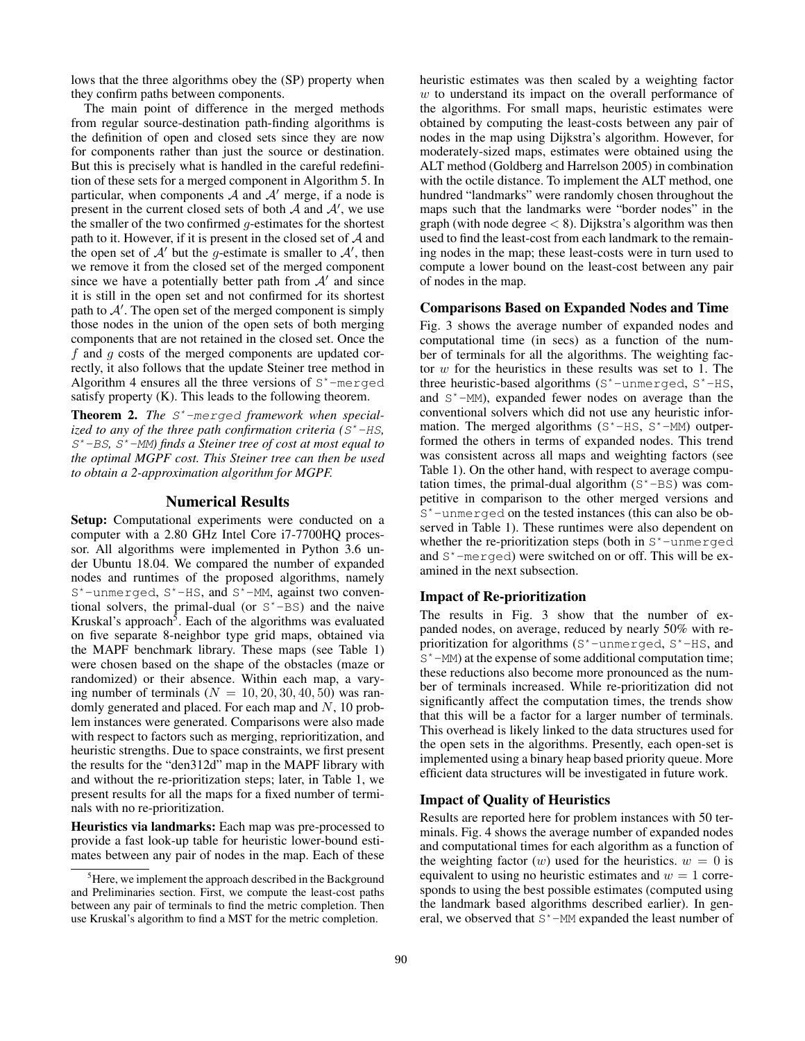lows that the three algorithms obey the (SP) property when they confirm paths between components.

The main point of difference in the merged methods from regular source-destination path-finding algorithms is the definition of open and closed sets since they are now for components rather than just the source or destination. But this is precisely what is handled in the careful redefinition of these sets for a merged component in Algorithm 5. In particular, when components  $A$  and  $A'$  merge, if a node is present in the current closed sets of both  $A$  and  $A'$ , we use the smaller of the two confirmed  $q$ -estimates for the shortest path to it. However, if it is present in the closed set of  $A$  and the open set of  $A'$  but the g-estimate is smaller to  $A'$ , then we remove it from the closed set of the merged component since we have a potentially better path from  $A'$  and since it is still in the open set and not confirmed for its shortest path to  $A'$ . The open set of the merged component is simply those nodes in the union of the open sets of both merging components that are not retained in the closed set. Once the f and g costs of the merged components are updated correctly, it also follows that the update Steiner tree method in Algorithm 4 ensures all the three versions of  $S<sup>*</sup>$ -merged satisfy property (K). This leads to the following theorem.

Theorem 2. *The* S\*-merged *framework when specialized to any of the three path confirmation criteria (*S\*-HS*,* S\*-BS*,* S\*-MM*) finds a Steiner tree of cost at most equal to the optimal MGPF cost. This Steiner tree can then be used to obtain a 2-approximation algorithm for MGPF.*

### Numerical Results

Setup: Computational experiments were conducted on a computer with a 2.80 GHz Intel Core i7-7700HQ processor. All algorithms were implemented in Python 3.6 under Ubuntu 18.04. We compared the number of expanded nodes and runtimes of the proposed algorithms, namely S\*-unmerged, S\*-HS, and S\*-MM, against two conventional solvers, the primal-dual (or  $S^*$ –BS) and the naive Kruskal's approach<sup>5</sup>. Each of the algorithms was evaluated on five separate 8-neighbor type grid maps, obtained via the MAPF benchmark library. These maps (see Table 1) were chosen based on the shape of the obstacles (maze or randomized) or their absence. Within each map, a varying number of terminals  $(N = 10, 20, 30, 40, 50)$  was randomly generated and placed. For each map and  $N$ , 10 problem instances were generated. Comparisons were also made with respect to factors such as merging, reprioritization, and heuristic strengths. Due to space constraints, we first present the results for the "den312d" map in the MAPF library with and without the re-prioritization steps; later, in Table 1, we present results for all the maps for a fixed number of terminals with no re-prioritization.

Heuristics via landmarks: Each map was pre-processed to provide a fast look-up table for heuristic lower-bound estimates between any pair of nodes in the map. Each of these heuristic estimates was then scaled by a weighting factor  $w$  to understand its impact on the overall performance of the algorithms. For small maps, heuristic estimates were obtained by computing the least-costs between any pair of nodes in the map using Dijkstra's algorithm. However, for moderately-sized maps, estimates were obtained using the ALT method (Goldberg and Harrelson 2005) in combination with the octile distance. To implement the ALT method, one hundred "landmarks" were randomly chosen throughout the maps such that the landmarks were "border nodes" in the graph (with node degree  $<$  8). Dijkstra's algorithm was then used to find the least-cost from each landmark to the remaining nodes in the map; these least-costs were in turn used to compute a lower bound on the least-cost between any pair of nodes in the map.

### Comparisons Based on Expanded Nodes and Time

Fig. 3 shows the average number of expanded nodes and computational time (in secs) as a function of the number of terminals for all the algorithms. The weighting factor  $w$  for the heuristics in these results was set to 1. The three heuristic-based algorithms (S\*-unmerged, S\*-HS, and  $S^*$ -MM), expanded fewer nodes on average than the conventional solvers which did not use any heuristic information. The merged algorithms  $(S^* - HS, S^* - MM)$  outperformed the others in terms of expanded nodes. This trend was consistent across all maps and weighting factors (see Table 1). On the other hand, with respect to average computation times, the primal-dual algorithm  $(S<sup>*</sup>-BS)$  was competitive in comparison to the other merged versions and S\*-unmerged on the tested instances (this can also be observed in Table 1). These runtimes were also dependent on whether the re-prioritization steps (both in  $S^*$ -unmerged and S\*-merged) were switched on or off. This will be examined in the next subsection.

### Impact of Re-prioritization

The results in Fig. 3 show that the number of expanded nodes, on average, reduced by nearly 50% with reprioritization for algorithms (S\*-unmerged, S\*-HS, and  $S^*$ -MM) at the expense of some additional computation time; these reductions also become more pronounced as the number of terminals increased. While re-prioritization did not significantly affect the computation times, the trends show that this will be a factor for a larger number of terminals. This overhead is likely linked to the data structures used for the open sets in the algorithms. Presently, each open-set is implemented using a binary heap based priority queue. More efficient data structures will be investigated in future work.

# Impact of Quality of Heuristics

Results are reported here for problem instances with 50 terminals. Fig. 4 shows the average number of expanded nodes and computational times for each algorithm as a function of the weighting factor  $(w)$  used for the heuristics.  $w = 0$  is equivalent to using no heuristic estimates and  $w = 1$  corresponds to using the best possible estimates (computed using the landmark based algorithms described earlier). In general, we observed that S\*-MM expanded the least number of

<sup>&</sup>lt;sup>5</sup>Here, we implement the approach described in the Background and Preliminaries section. First, we compute the least-cost paths between any pair of terminals to find the metric completion. Then use Kruskal's algorithm to find a MST for the metric completion.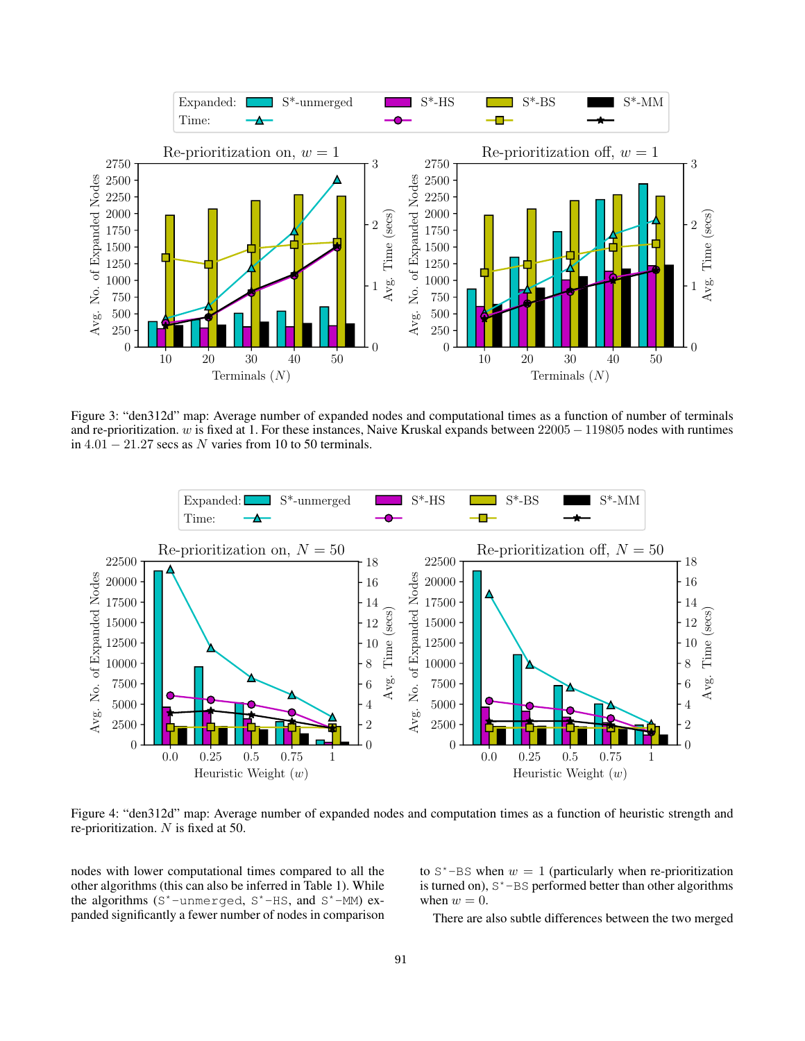

Figure 3: "den312d" map: Average number of expanded nodes and computational times as a function of number of terminals and re-prioritization. w is fixed at 1. For these instances, Naive Kruskal expands between  $22005 - 119805$  nodes with runtimes in  $4.01 - 21.27$  secs as N varies from 10 to 50 terminals.



Figure 4: "den312d" map: Average number of expanded nodes and computation times as a function of heuristic strength and re-prioritization.  $N$  is fixed at 50.

nodes with lower computational times compared to all the other algorithms (this can also be inferred in Table 1). While the algorithms (S\*-unmerged, S\*-HS, and S\*-MM) expanded significantly a fewer number of nodes in comparison to  $S^*$ -BS when  $w = 1$  (particularly when re-prioritization is turned on),  $S^*$ -BS performed better than other algorithms when  $w = 0$ .

There are also subtle differences between the two merged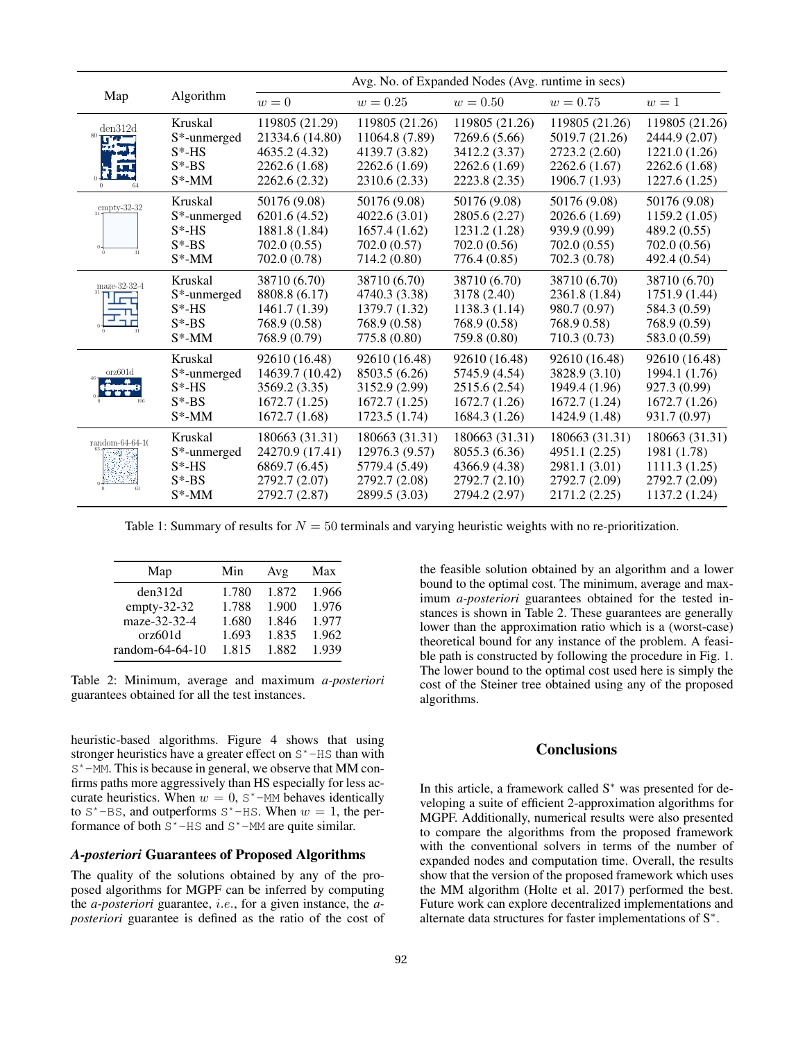|                           |                                                                            | Avg. No. of Expanded Nodes (Avg. runtime in secs)                                    |                                                                                     |                                                                                    |                                                                                     |                                                                                    |
|---------------------------|----------------------------------------------------------------------------|--------------------------------------------------------------------------------------|-------------------------------------------------------------------------------------|------------------------------------------------------------------------------------|-------------------------------------------------------------------------------------|------------------------------------------------------------------------------------|
| Map                       | Algorithm                                                                  | $w=0$                                                                                | $w = 0.25$                                                                          | $w = 0.50$                                                                         | $w = 0.75$                                                                          | $w=1$                                                                              |
| den312d<br>πw             | Kruskal<br>S <sup>*</sup> -unmerged<br>$S^*$ -HS<br>$S^*$ -BS<br>$S^*$ -MM | 119805 (21.29)<br>21334.6 (14.80)<br>4635.2 (4.32)<br>2262.6 (1.68)<br>2262.6 (2.32) | 119805 (21.26)<br>11064.8 (7.89)<br>4139.7 (3.82)<br>2262.6 (1.69)<br>2310.6 (2.33) | 119805 (21.26)<br>7269.6 (5.66)<br>3412.2 (3.37)<br>2262.6 (1.69)<br>2223.8 (2.35) | 119805 (21.26)<br>5019.7 (21.26)<br>2723.2 (2.60)<br>2262.6 (1.67)<br>1906.7 (1.93) | 119805 (21.26)<br>2444.9 (2.07)<br>1221.0 (1.26)<br>2262.6 (1.68)<br>1227.6 (1.25) |
| $empty-32-32$             | Kruskal<br>S*-unmerged<br>$S^*$ -HS<br>$S^*$ -BS<br>$S^*$ -MM              | 50176 (9.08)<br>6201.6 (4.52)<br>1881.8 (1.84)<br>702.0 (0.55)<br>702.0 (0.78)       | 50176 (9.08)<br>4022.6(3.01)<br>1657.4(1.62)<br>702.0 (0.57)<br>714.2 (0.80)        | 50176 (9.08)<br>2805.6 (2.27)<br>1231.2 (1.28)<br>702.0 (0.56)<br>776.4 (0.85)     | 50176 (9.08)<br>2026.6 (1.69)<br>939.9 (0.99)<br>702.0(0.55)<br>702.3 (0.78)        | 50176 (9.08)<br>1159.2(1.05)<br>489.2 (0.55)<br>702.0 (0.56)<br>492.4 (0.54)       |
| maze-32-32-4              | Kruskal<br>S*-unmerged<br>$S^*$ -HS<br>$S*-BS$<br>$S^*$ -MM                | 38710 (6.70)<br>8808.8 (6.17)<br>1461.7 (1.39)<br>768.9 (0.58)<br>768.9 (0.79)       | 38710 (6.70)<br>4740.3 (3.38)<br>1379.7 (1.32)<br>768.9 (0.58)<br>775.8 (0.80)      | 38710 (6.70)<br>3178 (2.40)<br>1138.3(1.14)<br>768.9 (0.58)<br>759.8 (0.80)        | 38710 (6.70)<br>2361.8 (1.84)<br>980.7 (0.97)<br>768.9 0.58)<br>710.3 (0.73)        | 38710 (6.70)<br>1751.9 (1.44)<br>584.3 (0.59)<br>768.9 (0.59)<br>583.0 (0.59)      |
| orz601d                   | Kruskal<br>S*-unmerged<br>$S*-HS$<br>$S^*$ -BS<br>$S^*$ -MM                | 92610 (16.48)<br>14639.7 (10.42)<br>3569.2 (3.35)<br>1672.7(1.25)<br>1672.7 (1.68)   | 92610 (16.48)<br>8503.5 (6.26)<br>3152.9 (2.99)<br>1672.7(1.25)<br>1723.5 (1.74)    | 92610 (16.48)<br>5745.9 (4.54)<br>2515.6 (2.54)<br>1672.7(1.26)<br>1684.3 (1.26)   | 92610 (16.48)<br>3828.9 (3.10)<br>1949.4 (1.96)<br>1672.7 (1.24)<br>1424.9 (1.48)   | 92610 (16.48)<br>1994.1 (1.76)<br>927.3 (0.99)<br>1672.7 (1.26)<br>931.7 (0.97)    |
| random-64-64-10<br>-93.87 | Kruskal<br>S <sup>*</sup> -unmerged<br>$S^*$ -HS<br>$S^*$ -BS<br>$S^*$ -MM | 180663 (31.31)<br>24270.9 (17.41)<br>6869.7 (6.45)<br>2792.7 (2.07)<br>2792.7 (2.87) | 180663 (31.31)<br>12976.3 (9.57)<br>5779.4 (5.49)<br>2792.7 (2.08)<br>2899.5 (3.03) | 180663 (31.31)<br>8055.3 (6.36)<br>4366.9 (4.38)<br>2792.7 (2.10)<br>2794.2 (2.97) | 180663 (31.31)<br>4951.1 (2.25)<br>2981.1 (3.01)<br>2792.7 (2.09)<br>2171.2(2.25)   | 180663 (31.31)<br>1981 (1.78)<br>1111.3(1.25)<br>2792.7 (2.09)<br>1137.2 (1.24)    |

Table 1: Summary of results for  $N = 50$  terminals and varying heuristic weights with no re-prioritization.

| Map             | Min   | Avg   | Max   |
|-----------------|-------|-------|-------|
| den312d         | 1.780 | 1.872 | 1.966 |
| $empty-32-32$   | 1.788 | 1.900 | 1.976 |
| maze-32-32-4    | 1.680 | 1.846 | 1.977 |
| orz601d         | 1.693 | 1.835 | 1.962 |
| random-64-64-10 | 1.815 | 1.882 | 1.939 |

Table 2: Minimum, average and maximum *a-posteriori* guarantees obtained for all the test instances.

heuristic-based algorithms. Figure 4 shows that using stronger heuristics have a greater effect on S\*-HS than with S<sup>\*</sup>-MM. This is because in general, we observe that MM confirms paths more aggressively than HS especially for less accurate heuristics. When  $w = 0$ ,  $S^*$ -MM behaves identically to  $S^*$ -BS, and outperforms  $S^*$ -HS. When  $w = 1$ , the performance of both  $S^*$ -HS and  $S^*$ -MM are quite similar.

# *A-posteriori* Guarantees of Proposed Algorithms

The quality of the solutions obtained by any of the proposed algorithms for MGPF can be inferred by computing the *a-posteriori* guarantee, i.e., for a given instance, the *aposteriori* guarantee is defined as the ratio of the cost of

the feasible solution obtained by an algorithm and a lower bound to the optimal cost. The minimum, average and maximum *a-posteriori* guarantees obtained for the tested instances is shown in Table 2. These guarantees are generally lower than the approximation ratio which is a (worst-case) theoretical bound for any instance of the problem. A feasible path is constructed by following the procedure in Fig. 1. The lower bound to the optimal cost used here is simply the cost of the Steiner tree obtained using any of the proposed algorithms.

## **Conclusions**

In this article, a framework called S<sup>∗</sup> was presented for developing a suite of efficient 2-approximation algorithms for MGPF. Additionally, numerical results were also presented to compare the algorithms from the proposed framework with the conventional solvers in terms of the number of expanded nodes and computation time. Overall, the results show that the version of the proposed framework which uses the MM algorithm (Holte et al. 2017) performed the best. Future work can explore decentralized implementations and alternate data structures for faster implementations of S<sup>∗</sup> .